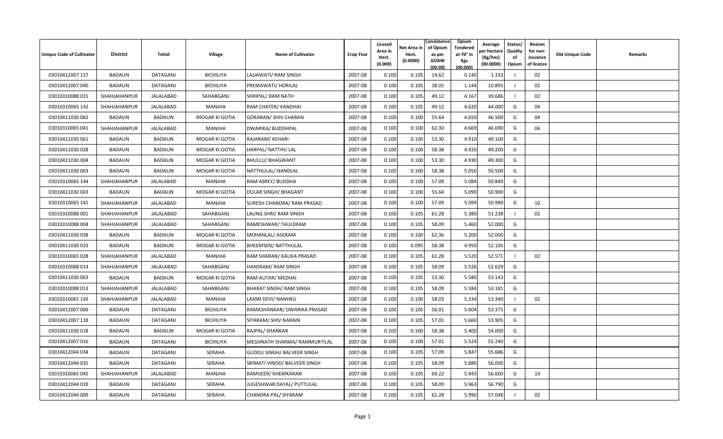| <b>Unique Code of Cultivator</b> | <b>District</b>     | Tehsil        | <b>Village</b>   | <b>Name of Cultivator</b>      | <b>Crop Year</b> | Licesed<br>Area in<br>Hect.<br>(0.000) | Net Area in<br>Hect.<br>(0.0000) | Consistence<br>of Opium<br>as per<br><b>GOAW</b><br>(00.00) | <b>Opium</b><br>Tendered<br>at 70° in<br>Kgs<br>(00.000) | Average<br>er hectar<br>(Kg/hec)<br>(00.0000) | Status/<br>Quality<br>of<br>Opium | Reason<br>for non-<br>issuance<br>of licence | Old Unique Code | Remarks |
|----------------------------------|---------------------|---------------|------------------|--------------------------------|------------------|----------------------------------------|----------------------------------|-------------------------------------------------------------|----------------------------------------------------------|-----------------------------------------------|-----------------------------------|----------------------------------------------|-----------------|---------|
| 03010412007 117                  | <b>BADAUN</b>       | DATAGANJ      | <b>BICHILIYA</b> | LAJJAWATI/ RAM SINGH           | 2007-08          | 0.100                                  | 0.105                            | 14.62                                                       | 0.140                                                    | 1.333                                         |                                   | 02                                           |                 |         |
| 03010412007 040                  | BADAUN              | DATAGANJ      | <b>BICHILIYA</b> | PREMAWATI/ HORILAL             | 2007-08          | 0.100                                  | 0.105                            | 38.05                                                       | 1.144                                                    | 10.895                                        |                                   | 02                                           |                 |         |
| 03010310088 015                  | SHAHJAHANPUR        | JALALABAD     | SAHABGANJ        | SHRIPAL/ RAM NATH              | 2007-08          | 0.100                                  | 0.105                            | 49.12                                                       | 4.167                                                    | 39.686                                        |                                   | 02                                           |                 |         |
| 03010310065 142                  | SHAHJAHANPUR        | JALALABAD     | MANJHA           | RAM CHATER/ KANDHAI            | 2007-08          | 0.100                                  | 0.105                            | 49.12                                                       | 4.620                                                    | 44.000                                        | G                                 | 04                                           |                 |         |
| 03010411030 062                  | <b>BADAUN</b>       | <b>BADAUN</b> | MOGAR KI GOTIA   | <b>GOKARAN/ SHIV CHARAN</b>    | 2007-08          | 0.100                                  | 0.100                            | 55.64                                                       | 4.650                                                    | 46.500                                        | G                                 | 04                                           |                 |         |
| 03010310065 041                  | SHAHJAHANPUR        | JALALABAD     | MANJHA           | DWARIKA/ BUDDHPAL              | 2007-08          | 0.100                                  | 0.100                            | 62.30                                                       | 4.669                                                    | 46.690                                        | G                                 | 04                                           |                 |         |
| 03010411030 061                  | <b>BADAUN</b>       | <b>BADAUN</b> | MOGAR KI GOTIA   | RAJARAM/KEHARI                 | 2007-08          | 0.100                                  | 0.100                            | 53.30                                                       | 4.910                                                    | 49.100                                        | G                                 |                                              |                 |         |
| 03010411030 028                  | <b>BADAUN</b>       | <b>BADAUN</b> | MOGAR KI GOTIA   | HARPAL/ NATTHU LAL             | 2007-08          | 0.100                                  | 0.100                            | 58.38                                                       | 4.920                                                    | 49.200                                        | G                                 |                                              |                 |         |
| 03010411030 004                  | BADAUN              | <b>BADAUN</b> | MOGAR KI GOTIA   | <b>BHULLU/ BHAGWANT</b>        | 2007-08          | 0.100                                  | 0.100                            | 53.30                                                       | 4.930                                                    | 49.300                                        | G                                 |                                              |                 |         |
| 03010411030 003                  | <b>BADAUN</b>       | <b>BADAUN</b> | MOGAR KI GOTIA   | NATTHULAL/ NANDLAL             | 2007-08          | 0.100                                  | 0.100                            | 58.38                                                       | 5.050                                                    | 50.500                                        | G                                 |                                              |                 |         |
| 03010310065 144                  | SHAHJAHANPUR        | JALALABAD     | MANJHA           | RAM ASREY/ BUDDHA              | 2007-08          | 0.100                                  | 0.100                            | 57.09                                                       | 5.084                                                    | 50.840                                        | G                                 |                                              |                 |         |
| 03010411030 043                  | <b>BADAUN</b>       | <b>BADAUN</b> | MOGAR KI GOTIA   | DULAR SINGH/ BHAGANT           | 2007-08          | 0.100                                  | 0.100                            | 55.64                                                       | 5.090                                                    | 50.900                                        | G                                 |                                              |                 |         |
| 03010310065 141                  | SHAHJAHANPUR        | JALALABAD     | MANJHA           | SURESH CHANDRA/ RAM PRASAD     | 2007-08          | 0.100                                  | 0.100                            | 57.09                                                       | 5.099                                                    | 50.990                                        | G                                 | 10                                           |                 |         |
| 03010310088 001                  | SHAHJAHANPUR        | JALALABAD     | SAHABGANJ        | LAUNG SHRI/ RAM SINGH          | 2007-08          | 0.100                                  | 0.105                            | 61.28                                                       | 5.380                                                    | 51.238                                        |                                   | 02                                           |                 |         |
| 03010310088 004                  | SHAHJAHANPUR        | JALALABAD     | SAHABGANJ        | RAMESHWAR/TAULERAM             | 2007-08          | 0.100                                  | 0.105                            | 58.09                                                       | 5.460                                                    | 52.000                                        | G                                 |                                              |                 |         |
| 03010411030038                   | <b>BADAUN</b>       | <b>BADAUN</b> | MOGAR KI GOTIA   | MOHANLAL/ ASERAM               | 2007-08          | 0.100                                  | 0.100                            | 62.36                                                       | 5.200                                                    | 52.000                                        | G                                 |                                              |                 |         |
| 03010411030 033                  | <b>BADAUN</b>       | <b>BADAUN</b> | MOGAR KI GOTIA   | <b>BHEEMSEN/ NATTHULAL</b>     | 2007-08          | 0.100                                  | 0.095                            | 58.38                                                       | 4.950                                                    | 52.105                                        | G                                 |                                              |                 |         |
| 03010310065 028                  | SHAHJAHANPUR        | JALALABAD     | MANJHA           | RAM SHARAN/ KALIKA PRASAD      | 2007-08          | 0.100                                  | 0.105                            | 61.28                                                       | 5.520                                                    | 52.571                                        |                                   | 02                                           |                 |         |
| 03010310088 014                  | SHAHJAHANPUR        | JALALABAD     | SAHABGANJ        | <b>HANSRAM/ RAM SINGH</b>      | 2007-08          | 0.100                                  | 0.105                            | 58.09                                                       | 5.526                                                    | 52.629                                        | G                                 |                                              |                 |         |
| 03010411030 063                  | <b>BADAUN</b>       | <b>BADAUN</b> | MOGAR KI GOTIA   | RAM AUTAR/ MEDHAI              | 2007-08          | 0.100                                  | 0.105                            | 53.30                                                       | 5.580                                                    | 53.143                                        | G                                 |                                              |                 |         |
| 03010310088 013                  | SHAHJAHANPUR        | JALALABAD     | SAHABGANJ        | <b>BHARAT SINGH/ RAM SINGH</b> | 2007-08          | 0.100                                  | 0.105                            | 58.09                                                       | 5.584                                                    | 53.181                                        | G                                 |                                              |                 |         |
| 03010310065 143                  | SHAHJAHANPUR        | JALALABAD     | MANJHA           | LAXMI DEVI/ NANHKU             | 2007-08          | 0.100                                  | 0.100                            | 58.03                                                       | 5.334                                                    | 53.340                                        |                                   | 02                                           |                 |         |
| 03010412007 069                  | <b>BADAUN</b>       | DATAGANJ      | <b>BICHILIYA</b> | RAMASHANKAR/ DWARIKA PRASAD    | 2007-08          | 0.100                                  | 0.105                            | 56.01                                                       | 5.604                                                    | 53.371                                        | G                                 |                                              |                 |         |
| 03010412007 118                  | <b>BADAUN</b>       | DATAGANJ      | <b>BICHILIYA</b> | SIYARAM/ SHIV NARAIN           | 2007-08          | 0.100                                  | 0.105                            | 57.01                                                       | 5.660                                                    | 53.905                                        | G                                 |                                              |                 |         |
| 03010411030 018                  | <b>BADAUN</b>       | <b>BADAUN</b> | MOGAR KI GOTIA   | RAJPAL/ SHANKAR                | 2007-08          | 0.100                                  | 0.100                            | 58.38                                                       | 5.400                                                    | 54.000                                        | G                                 |                                              |                 |         |
| 03010412007 016                  | BADAUN              | DATAGANJ      | <b>BICHILIYA</b> | MEGHNATH SHARMA/ RAMMURTILAL   | 2007-08          | 0.100                                  | 0.100                            | 57.01                                                       | 5.524                                                    | 55.240                                        | G                                 |                                              |                 |         |
| 03010412044 034                  | <b>BADAUN</b>       | DATAGANJ      | <b>SERAHA</b>    | GUDDU SINGH/ BALVEER SINGH     | 2007-08          | 0.100                                  | 0.105                            | 57.09                                                       | 5.847                                                    | 55.686                                        | G                                 |                                              |                 |         |
| 03010412044 035                  | <b>BADAUN</b>       | DATAGANJ      | <b>SERAHA</b>    | SRIMATI VINOD/ BALVEER SINGH   | 2007-08          | 0.100                                  | 0.105                            | 58.09                                                       | 5.880                                                    | 56.000                                        | G                                 |                                              |                 |         |
| 03010310065 045                  | <b>SHAHJAHANPUR</b> | JALALABAD     | MANJHA           | RAMVEER/ KHEMKARAN             | 2007-08          | 0.100                                  | 0.105                            | 69.22                                                       | 5.943                                                    | 56.600                                        | G                                 | 10                                           |                 |         |
| 03010412044 019                  | <b>BADAUN</b>       | DATAGANJ      | <b>SERAHA</b>    | JUGESHWAR DAYAL/ PUTTULAL      | 2007-08          | 0.100                                  | 0.105                            | 58.09                                                       | 5.963                                                    | 56.790                                        | G                                 |                                              |                 |         |
| 03010412044 009                  | <b>BADAUN</b>       | DATAGANJ      | <b>SERAHA</b>    | CHANDRA PAL/ SIYARAM           | 2007-08          | 0.100                                  | 0.105                            | 61.28                                                       | 5.990                                                    | 57.048                                        |                                   | 02                                           |                 |         |